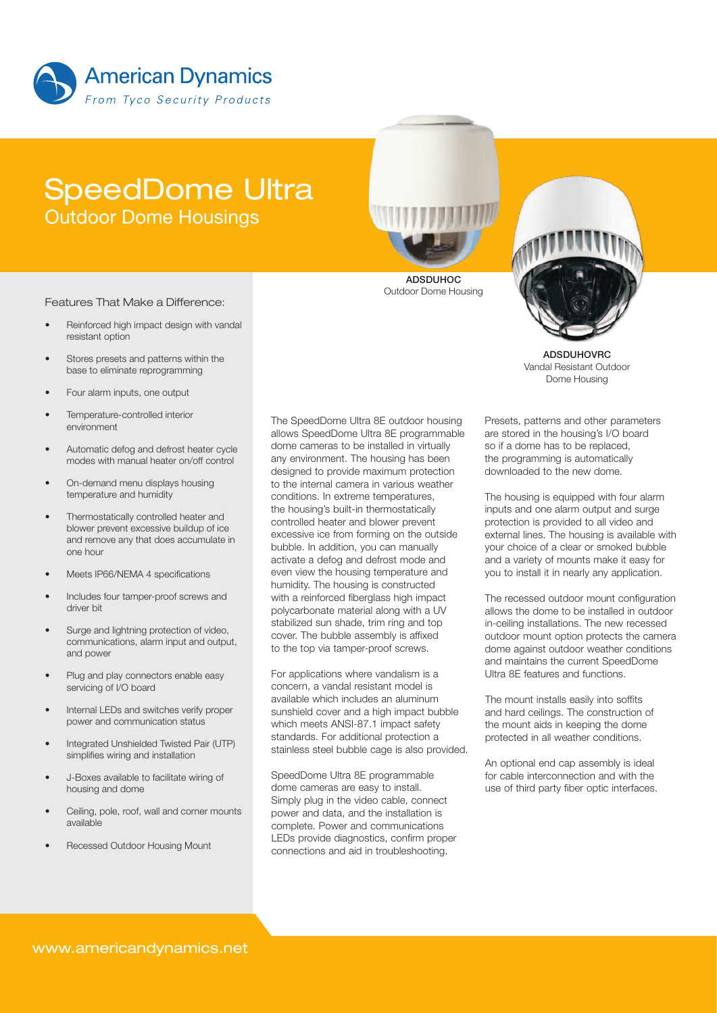

# SpeedDome Ultra Outdoor Dome Housings



#### Features That Make a Difference:

- Reinforced high impact design with vandal resistant option
- Stores presets and patterns within the base to eliminate reprogramming
- Four alarm inputs, one output
- Temperature-controlled interior environment
- Automatic defog and defrost heater cycle modes with manual heater on/off control
- On-demand menu displays housing temperature and humidity
- Thermostatically controlled heater and blower prevent excessive buildup of ice and remove any that does accumulate in one hour
- Meets IP66/NEMA 4 specifications
- Includes four tamper-proof screws and driver bit
- Surge and lightning protection of video, communications, alarm input and output, and power
- Plug and play connectors enable easy servicing of I/O board
- Internal LEDs and switches verify proper power and communication status
- Integrated Unshielded Twisted Pair (UTP) simplifies wiring and installation
- J-Boxes available to facilitate wiring of housing and dome
- Ceiling, pole, roof, wall and corner mounts available
- Recessed Outdoor Housing Mount

The SpeedDome Ultra 8E outdoor housing allows SpeedDome Ultra 8E programmable dome cameras to be installed in virtually any environment. The housing has been designed to provide maximum protection to the internal camera in various weather conditions. In extreme temperatures, the housing's built-in thermostatically controlled heater and blower prevent excessive ice from forming on the outside bubble. In addition, you can manually activate a defog and defrost mode and even view the housing temperature and humidity. The housing is constructed with a reinforced fiberglass high impact polycarbonate material along with a UV stabilized sun shade, trim ring and top cover. The bubble assembly is affixed to the top via tamper-proof screws.

For applications where vandalism is a concern, a vandal resistant model is available which includes an aluminum sunshield cover and a high impact bubble which meets ANSI-87.1 impact safety standards. For additional protection a stainless steel bubble cage is also provided.

SpeedDome Ultra 8E programmable dome cameras are easy to install. Simply plug in the video cable, connect power and data, and the installation is complete. Power and communications LEDs provide diagnostics, confirm proper connections and aid in troubleshooting.

Presets, patterns and other parameters are stored in the housing's I/O board so if a dome has to be replaced, the programming is automatically downloaded to the new dome.

ADSDUHOVRC Vandal Resistant Outdoor Dome Housing

The housing is equipped with four alarm inputs and one alarm output and surge protection is provided to all video and external lines. The housing is available with your choice of a clear or smoked bubble and a variety of mounts make it easy for you to install it in nearly any application.

The recessed outdoor mount configuration allows the dome to be installed in outdoor in-ceiling installations. The new recessed outdoor mount option protects the camera dome against outdoor weather conditions and maintains the current SpeedDome Ultra 8E features and functions.

The mount installs easily into soffits and hard ceilings. The construction of the mount aids in keeping the dome protected in all weather conditions.

An optional end cap assembly is ideal for cable interconnection and with the use of third party fiber optic interfaces.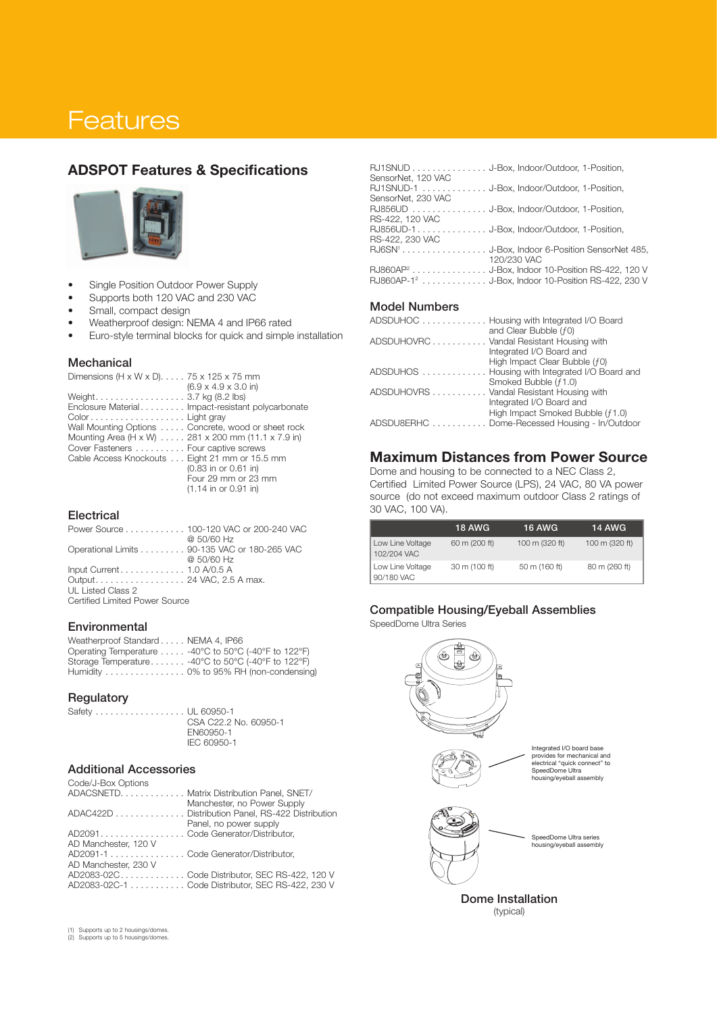# **Features**

# ADSPOT Features & Specifications



- • Single Position Outdoor Power Supply
- Supports both 120 VAC and 230 VAC
- Small, compact design
- Weatherproof design: NEMA 4 and IP66 rated
- Euro-style terminal blocks for quick and simple installation

#### **Mechanical**

| Dimensions (H x W x D). $\ldots$ 75 x 125 x 75 mm   |
|-----------------------------------------------------|
| $(6.9 \times 4.9 \times 3.0)$ in)                   |
| Weight3.7 kg (8.2 lbs)                              |
| Enclosure Material Impact-resistant polycarbonate   |
| ColorLight gray                                     |
| Wall Mounting Options  Concrete, wood or sheet rock |
| Mounting Area (H x W) 281 x 200 mm (11.1 x 7.9 in)  |
| Cover Fasteners Four captive screws                 |
| Cable Access Knockouts Eight 21 mm or 15.5 mm       |
| (0.83 in or 0.61 in)                                |
| Four 29 mm or 23 mm                                 |
| $(1.14 \text{ in or } 0.91 \text{ in})$             |

#### **Electrical**

|                                                         | Power Source 100-120 VAC or 200-240 VAC      |
|---------------------------------------------------------|----------------------------------------------|
|                                                         | @ 50/60 Hz                                   |
|                                                         | Operational Limits 90-135 VAC or 180-265 VAC |
|                                                         | @ 50/60 Hz                                   |
| Input Current $\ldots \ldots \ldots \ldots 1.0$ A/0.5 A |                                              |
| Output 24 VAC, 2.5 A max.                               |                                              |
| UL Listed Class 2                                       |                                              |
| Certified Limited Power Source                          |                                              |
|                                                         |                                              |

#### **Environmental**

| Weatherproof Standard NEMA 4, IP66 |                                                      |
|------------------------------------|------------------------------------------------------|
|                                    | Operating Temperature -40°C to 50°C (-40°F to 122°F) |
|                                    | Storage Temperature -40°C to 50°C (-40°F to 122°F)   |
|                                    | Humidity 0% to 95% RH (non-condensing)               |

#### **Regulatory**

Safety . . . . . . . . . . . . . . . . . UL 60950-1 CSA C22.2 No. 60950-1 EN60950-1 IEC 60950-1

#### Additional Accessories

| Code/J-Box Options |  |
|--------------------|--|
| ADACSNETD          |  |

|                                      | ADACSNETD. Matrix Distribution Panel, SNET/                                     |
|--------------------------------------|---------------------------------------------------------------------------------|
|                                      | Manchester, no Power Supply<br>ADAC422D Distribution Panel, RS-422 Distribution |
|                                      | Panel, no power supply                                                          |
| AD2091. Code Generator/Distributor,  |                                                                                 |
| AD Manchester, 120 V                 |                                                                                 |
| AD2091-1 Code Generator/Distributor, |                                                                                 |
| AD Manchester, 230 V                 |                                                                                 |
|                                      | AD2083-02CCode Distributor, SEC RS-422, 120 V                                   |
|                                      | AD2083-02C-1 Code Distributor, SEC RS-422, 230 V                                |

(1) Supports up to 2 housings/domes. (2) Supports up to 5 housings/domes.

RJ1SNUD . . . . . . . . . . . . . . J-Box, Indoor/Outdoor, 1-Position, SensorNet, 120 VAC RJ1SNUD-1 . . . . . . . . . . . . . J-Box, Indoor/Outdoor, 1-Position, SensorNet, 230 VAC<br>RJ856UD ........ . . . . . . . . . . J-Box, Indoor/Outdoor, 1-Position, RS-422, 120 VAC<br>RJ856UD-1..... ........... J-Box, Indoor/Outdoor, 1-Position, RS-422, 230 VAC RJ6SN<sup>1</sup> . . . . . . . . . . . . . . . . . J-Box, Indoor 6-Position SensorNet 485, 120/230 VAC RJ860AP<sup>2</sup> . . . . . . . . . . . . . . . . . J-Box, Indoor 10-Position RS-422, 120 V RJ860AP-1<sup>2</sup> .............. J-Box, Indoor 10-Position RS-422, 230 V

#### Model Numbers

| ADSDUHOC Housing with Integrated I/O Board     |
|------------------------------------------------|
| and Clear Bubble (f0)                          |
| ADSDUHOVRC Vandal Resistant Housing with       |
| Integrated I/O Board and                       |
| High Impact Clear Bubble (f0)                  |
| ADSDUHOS Housing with Integrated I/O Board and |
| Smoked Bubble (f1.0)                           |
| ADSDUHOVRS Vandal Resistant Housing with       |
| Integrated I/O Board and                       |
| High Impact Smoked Bubble (f1.0)               |
| ADSDU8ERHC Dome-Recessed Housing - In/Outdoor  |
|                                                |

# Maximum Distances from Power Source

Dome and housing to be connected to a NEC Class 2, Certified Limited Power Source (LPS), 24 VAC, 80 VA power source (do not exceed maximum outdoor Class 2 ratings of 30 VAC, 100 VA).

|                                 | <b>18 AWG</b> | <b>16 AWG</b>  | <b>14 AWG</b>  |
|---------------------------------|---------------|----------------|----------------|
| Low Line Voltage<br>102/204 VAC | 60 m (200 ft) | 100 m (320 ft) | 100 m (320 ft) |
| Low Line Voltage<br>90/180 VAC  | 30 m (100 ft) | 50 m (160 ft)  | 80 m (260 ft)  |

#### Compatible Housing/Eyeball Assemblies

SpeedDome Ultra Series



(typical)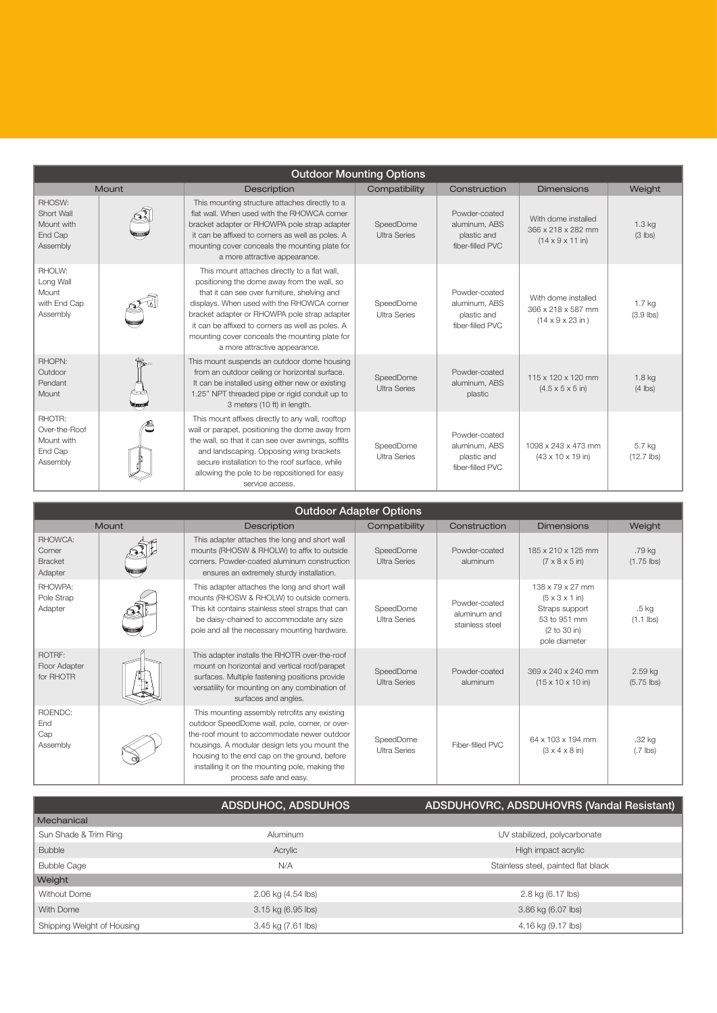| <b>Outdoor Mounting Options</b>                              |               |                                                                                                                                                                                                                                                                                                                                                                                  |                                  |                                                                   |                                                                                   |                                  |
|--------------------------------------------------------------|---------------|----------------------------------------------------------------------------------------------------------------------------------------------------------------------------------------------------------------------------------------------------------------------------------------------------------------------------------------------------------------------------------|----------------------------------|-------------------------------------------------------------------|-----------------------------------------------------------------------------------|----------------------------------|
| <b>Mount</b>                                                 |               | <b>Description</b>                                                                                                                                                                                                                                                                                                                                                               | Compatibility                    | Construction                                                      | <b>Dimensions</b>                                                                 | Weight                           |
| RHOSW:<br>Short Wall<br>Mount with<br>End Cap<br>Assembly    |               | This mounting structure attaches directly to a<br>flat wall. When used with the RHOWCA corner<br>bracket adapter or RHOWPA pole strap adapter<br>it can be affixed to corners as well as poles. A<br>mounting cover conceals the mounting plate for<br>a more attractive appearance.                                                                                             | SpeedDome<br><b>Ultra Series</b> | Powder-coated<br>aluminum. ABS<br>plastic and<br>fiber-filled PVC | With dome installed<br>366 x 218 x 282 mm<br>$(14 \times 9 \times 11)$ in)        | $1.3$ kg<br>$(3$ lbs)            |
| RHOLW:<br>Long Wall<br>Mount<br>with End Cap<br>Assembly     |               | This mount attaches directly to a flat wall,<br>positioning the dome away from the wall, so<br>that it can see over furniture, shelving and<br>displays. When used with the RHOWCA corner<br>bracket adapter or RHOWPA pole strap adapter<br>it can be affixed to corners as well as poles. A<br>mounting cover conceals the mounting plate for<br>a more attractive appearance. | SpeedDome<br><b>Ultra Series</b> | Powder-coated<br>aluminum, ABS<br>plastic and<br>fiber-filled PVC | With dome installed<br>366 x 218 x 587 mm<br>$(14 \times 9 \times 23 \text{ in})$ | 1.7 <sub>kg</sub><br>$(3.9$ lbs) |
| RHOPN:<br>Outdoor<br>Pendant<br>Mount                        | <b>Stummi</b> | This mount suspends an outdoor dome housing<br>from an outdoor ceiling or horizontal surface.<br>It can be installed using either new or existing<br>1.25" NPT threaded pipe or rigid conduit up to<br>3 meters (10 ft) in length.                                                                                                                                               | SpeedDome<br><b>Ultra Series</b> | Powder-coated<br>aluminum, ABS<br>plastic                         | 115 x 120 x 120 mm<br>$(4.5 \times 5 \times 5)$ in)                               | 1.8 <sub>kq</sub><br>$(4$ lbs)   |
| RHOTR:<br>Over-the-Roof<br>Mount with<br>End Cap<br>Assembly |               | This mount affixes directly to any wall, rooftop<br>wall or parapet, positioning the dome away from<br>the wall, so that it can see over awnings, soffits<br>and landscaping. Opposing wing brackets<br>secure installation to the roof surface, while<br>allowing the pole to be repositioned for easy<br>service access.                                                       | SpeedDome<br><b>Ultra Series</b> | Powder-coated<br>aluminum, ABS<br>plastic and<br>fiber-filled PVC | 1098 x 243 x 473 mm<br>$(43 \times 10 \times 19)$ in)                             | 5.7 kg<br>$(12.7$ lbs)           |
| Outside and Ashember Outlett                                 |               |                                                                                                                                                                                                                                                                                                                                                                                  |                                  |                                                                   |                                                                                   |                                  |

| <b>UULGOOI AGAPLE UPLICIIS</b>                 |              |                                                                                                                                                                                                                                                                                                                             |                                  |                                                  |                                                                                                                    |                                 |
|------------------------------------------------|--------------|-----------------------------------------------------------------------------------------------------------------------------------------------------------------------------------------------------------------------------------------------------------------------------------------------------------------------------|----------------------------------|--------------------------------------------------|--------------------------------------------------------------------------------------------------------------------|---------------------------------|
|                                                | <b>Mount</b> | Description                                                                                                                                                                                                                                                                                                                 | Compatibility                    | Construction                                     | <b>Dimensions</b>                                                                                                  | <b>Weight</b>                   |
| RHOWCA:<br>Corner<br><b>Bracket</b><br>Adapter |              | This adapter attaches the long and short wall<br>mounts (RHOSW & RHOLW) to affix to outside<br>corners. Powder-coated aluminum construction<br>ensures an extremely sturdy installation.                                                                                                                                    | SpeedDome<br><b>Ultra Series</b> | Powder-coated<br>aluminum                        | 185 x 210 x 125 mm<br>$(7 \times 8 \times 5)$ in)                                                                  | .79 kg<br>$(1.75$ lbs)          |
| RHOWPA:<br>Pole Strap<br>Adapter               |              | This adapter attaches the long and short wall<br>mounts (RHOSW & RHOLW) to outside corners.<br>This kit contains stainless steel straps that can<br>be daisy-chained to accommodate any size<br>pole and all the necessary mounting hardware.                                                                               | SpeedDome<br><b>Ultra Series</b> | Powder-coated<br>aluminum and<br>stainless steel | 138 x 79 x 27 mm<br>$(5 \times 3 \times 1)$ in)<br>Straps support<br>53 to 951 mm<br>(2 to 30 in)<br>pole diameter | .5 <sub>kg</sub><br>$(1.1$ lbs) |
| ROTRF:<br>Floor Adapter<br>for RHOTR           |              | This adapter installs the RHOTR over-the-roof<br>mount on horizontal and vertical roof/parapet<br>surfaces. Multiple fastening positions provide<br>versatility for mounting on any combination of<br>surfaces and angles.                                                                                                  | SpeedDome<br><b>Ultra Series</b> | Powder-coated<br>aluminum                        | 369 x 240 x 240 mm<br>$(15 \times 10 \times 10)$ in)                                                               | 2.59 kg<br>$(5.75$ lbs)         |
| ROENDC:<br>End<br>Cap<br>Assembly              |              | This mounting assembly retrofits any existing<br>outdoor SpeedDome wall, pole, corner, or over-<br>the-roof mount to accommodate newer outdoor<br>housings. A modular design lets you mount the<br>housing to the end cap on the ground, before<br>installing it on the mounting pole, making the<br>process safe and easy. | SpeedDome<br><b>Ultra Series</b> | Fiber-filled PVC                                 | 64 x 103 x 194 mm<br>$(3 \times 4 \times 8)$ in)                                                                   | .32 kg<br>$(.7$ lbs)            |

|                            | ADSDUHOC, ADSDUHOS | ADSDUHOVRC, ADSDUHOVRS (Vandal Resistant) |  |
|----------------------------|--------------------|-------------------------------------------|--|
| Mechanical                 |                    |                                           |  |
| Sun Shade & Trim Ring      | Aluminum           | UV stabilized, polycarbonate              |  |
| <b>Bubble</b>              | Acrylic            | High impact acrylic                       |  |
| <b>Bubble Cage</b>         | N/A                | Stainless steel, painted flat black       |  |
| Weight                     |                    |                                           |  |
| Without Dome               | 2.06 kg (4.54 lbs) | 2.8 kg (6.17 lbs)                         |  |
| With Dome                  | 3.15 kg (6.95 lbs) | 3.86 kg (6.07 lbs)                        |  |
| Shipping Weight of Housing | 3.45 kg (7.61 lbs) | 4.16 kg (9.17 lbs)                        |  |